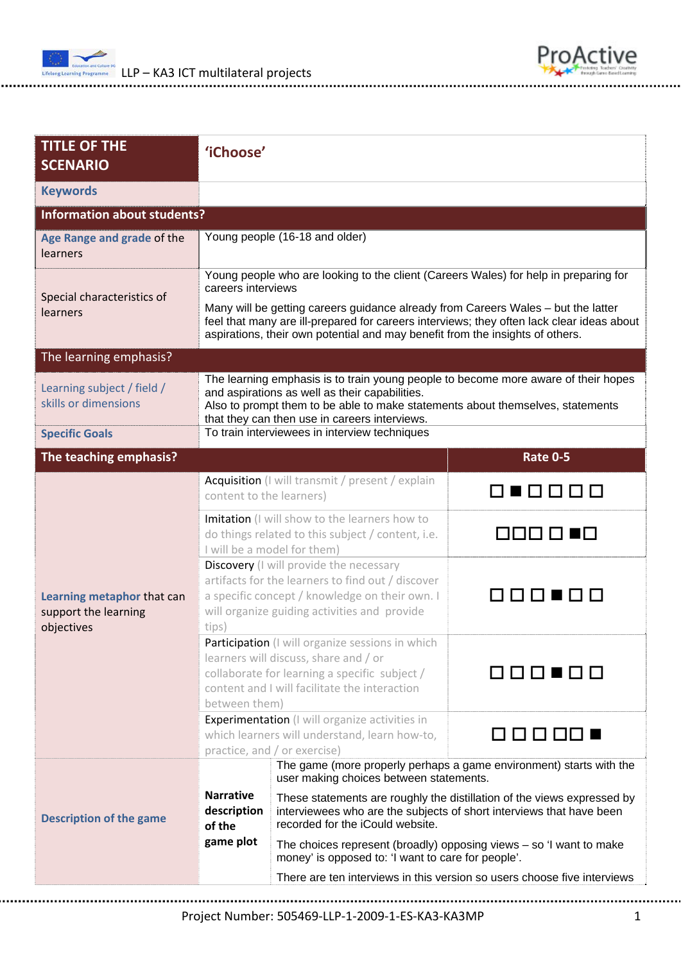



| <b>TITLE OF THE</b><br><b>SCENARIO</b>                           | 'iChoose'                                                                                                                                                                                                                                                               |                                                                                                                                                                                     |                 |  |  |
|------------------------------------------------------------------|-------------------------------------------------------------------------------------------------------------------------------------------------------------------------------------------------------------------------------------------------------------------------|-------------------------------------------------------------------------------------------------------------------------------------------------------------------------------------|-----------------|--|--|
| <b>Keywords</b>                                                  |                                                                                                                                                                                                                                                                         |                                                                                                                                                                                     |                 |  |  |
| <b>Information about students?</b>                               |                                                                                                                                                                                                                                                                         |                                                                                                                                                                                     |                 |  |  |
| Age Range and grade of the<br>learners                           | Young people (16-18 and older)                                                                                                                                                                                                                                          |                                                                                                                                                                                     |                 |  |  |
| Special characteristics of<br><b>learners</b>                    | Young people who are looking to the client (Careers Wales) for help in preparing for<br>careers interviews                                                                                                                                                              |                                                                                                                                                                                     |                 |  |  |
|                                                                  | Many will be getting careers guidance already from Careers Wales - but the latter<br>feel that many are ill-prepared for careers interviews; they often lack clear ideas about<br>aspirations, their own potential and may benefit from the insights of others.         |                                                                                                                                                                                     |                 |  |  |
| The learning emphasis?                                           |                                                                                                                                                                                                                                                                         |                                                                                                                                                                                     |                 |  |  |
| Learning subject / field /<br>skills or dimensions               | The learning emphasis is to train young people to become more aware of their hopes<br>and aspirations as well as their capabilities.<br>Also to prompt them to be able to make statements about themselves, statements<br>that they can then use in careers interviews. |                                                                                                                                                                                     |                 |  |  |
| <b>Specific Goals</b>                                            | To train interviewees in interview techniques                                                                                                                                                                                                                           |                                                                                                                                                                                     |                 |  |  |
| The teaching emphasis?                                           |                                                                                                                                                                                                                                                                         |                                                                                                                                                                                     | <b>Rate 0-5</b> |  |  |
| Learning metaphor that can<br>support the learning<br>objectives | Acquisition (I will transmit / present / explain<br>NUMMMM<br>content to the learners)                                                                                                                                                                                  |                                                                                                                                                                                     |                 |  |  |
|                                                                  | Imitation (I will show to the learners how to<br>do things related to this subject / content, i.e.<br>I will be a model for them)                                                                                                                                       |                                                                                                                                                                                     | OOO O I         |  |  |
|                                                                  | Discovery (I will provide the necessary<br>artifacts for the learners to find out / discover<br>00000<br>a specific concept / knowledge on their own. I<br>will organize guiding activities and provide<br>tips)                                                        |                                                                                                                                                                                     |                 |  |  |
|                                                                  | Participation (I will organize sessions in which<br>learners will discuss, share and / or<br>collaborate for learning a specific subject /<br>content and I will facilitate the interaction<br>between them)                                                            |                                                                                                                                                                                     |                 |  |  |
|                                                                  | <b>Experimentation</b> (I will organize activities in<br>which learners will understand, learn how-to,<br>practice, and / or exercise)                                                                                                                                  |                                                                                                                                                                                     | $1 \cap \Box$   |  |  |
| <b>Description of the game</b>                                   |                                                                                                                                                                                                                                                                         | The game (more properly perhaps a game environment) starts with the<br>user making choices between statements.                                                                      |                 |  |  |
|                                                                  | <b>Narrative</b><br>description<br>of the<br>game plot                                                                                                                                                                                                                  | These statements are roughly the distillation of the views expressed by<br>interviewees who are the subjects of short interviews that have been<br>recorded for the iCould website. |                 |  |  |
|                                                                  |                                                                                                                                                                                                                                                                         | The choices represent (broadly) opposing views $-$ so 'I want to make<br>money' is opposed to: 'I want to care for people'.                                                         |                 |  |  |
|                                                                  |                                                                                                                                                                                                                                                                         | There are ten interviews in this version so users choose five interviews                                                                                                            |                 |  |  |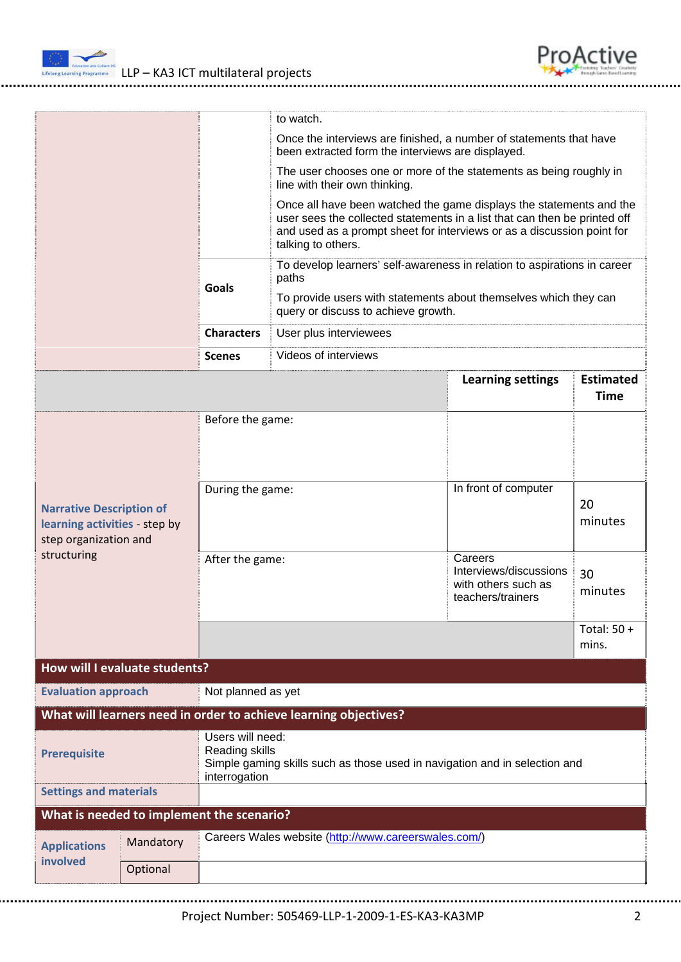



|                                                                                                          |              |                                                                                                         | to watch.                                                                                                                                                                                                                                        |                                                                               |                                 |  |
|----------------------------------------------------------------------------------------------------------|--------------|---------------------------------------------------------------------------------------------------------|--------------------------------------------------------------------------------------------------------------------------------------------------------------------------------------------------------------------------------------------------|-------------------------------------------------------------------------------|---------------------------------|--|
|                                                                                                          |              |                                                                                                         | Once the interviews are finished, a number of statements that have<br>been extracted form the interviews are displayed.                                                                                                                          |                                                                               |                                 |  |
|                                                                                                          |              | The user chooses one or more of the statements as being roughly in<br>line with their own thinking.     |                                                                                                                                                                                                                                                  |                                                                               |                                 |  |
|                                                                                                          |              |                                                                                                         | Once all have been watched the game displays the statements and the<br>user sees the collected statements in a list that can then be printed off<br>and used as a prompt sheet for interviews or as a discussion point for<br>talking to others. |                                                                               |                                 |  |
|                                                                                                          |              |                                                                                                         | To develop learners' self-awareness in relation to aspirations in career<br>paths                                                                                                                                                                |                                                                               |                                 |  |
|                                                                                                          | <b>Goals</b> | To provide users with statements about themselves which they can<br>query or discuss to achieve growth. |                                                                                                                                                                                                                                                  |                                                                               |                                 |  |
|                                                                                                          |              | <b>Characters</b>                                                                                       | User plus interviewees                                                                                                                                                                                                                           |                                                                               |                                 |  |
|                                                                                                          |              | <b>Scenes</b>                                                                                           | Videos of interviews                                                                                                                                                                                                                             |                                                                               |                                 |  |
|                                                                                                          |              |                                                                                                         |                                                                                                                                                                                                                                                  | <b>Learning settings</b>                                                      | <b>Estimated</b><br><b>Time</b> |  |
| <b>Narrative Description of</b><br>learning activities - step by<br>step organization and<br>structuring |              | Before the game:                                                                                        |                                                                                                                                                                                                                                                  |                                                                               |                                 |  |
|                                                                                                          |              | During the game:                                                                                        |                                                                                                                                                                                                                                                  | In front of computer                                                          | 20<br>minutes                   |  |
|                                                                                                          |              | After the game:                                                                                         |                                                                                                                                                                                                                                                  | Careers<br>Interviews/discussions<br>with others such as<br>teachers/trainers | 30<br>minutes                   |  |
|                                                                                                          |              |                                                                                                         |                                                                                                                                                                                                                                                  |                                                                               | Total: 50 +<br>mins.            |  |
| <b>How will I evaluate students?</b>                                                                     |              |                                                                                                         |                                                                                                                                                                                                                                                  |                                                                               |                                 |  |
| <b>Evaluation approach</b>                                                                               |              | Not planned as yet                                                                                      |                                                                                                                                                                                                                                                  |                                                                               |                                 |  |
| What will learners need in order to achieve learning objectives?                                         |              |                                                                                                         |                                                                                                                                                                                                                                                  |                                                                               |                                 |  |
| <b>Prerequisite</b>                                                                                      |              | Users will need:<br>Reading skills<br>interrogation                                                     | Simple gaming skills such as those used in navigation and in selection and                                                                                                                                                                       |                                                                               |                                 |  |
| <b>Settings and materials</b>                                                                            |              |                                                                                                         |                                                                                                                                                                                                                                                  |                                                                               |                                 |  |
| What is needed to implement the scenario?                                                                |              |                                                                                                         |                                                                                                                                                                                                                                                  |                                                                               |                                 |  |
| <b>Applications</b><br>involved                                                                          | Mandatory    |                                                                                                         | Careers Wales website (http://www.careerswales.com/)                                                                                                                                                                                             |                                                                               |                                 |  |
|                                                                                                          | Optional     |                                                                                                         |                                                                                                                                                                                                                                                  |                                                                               |                                 |  |
|                                                                                                          |              |                                                                                                         |                                                                                                                                                                                                                                                  |                                                                               |                                 |  |

Project Number: 505469‐LLP‐1‐2009‐1‐ES‐KA3‐KA3MP 2